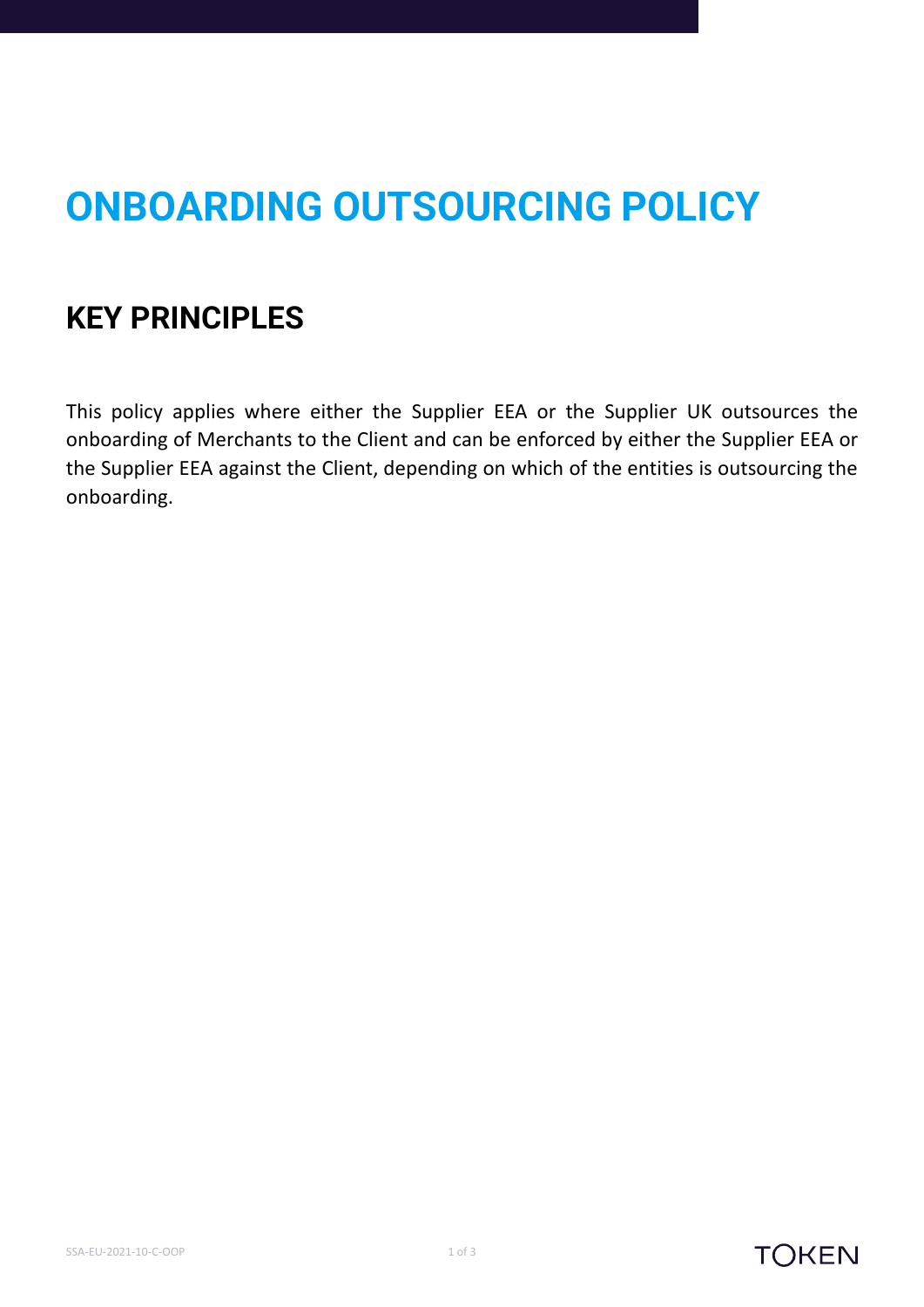## **ONBOARDING OUTSOURCING POLICY**

## **KEY PRINCIPLES**

This policy applies where either the Supplier EEA or the Supplier UK outsources the onboarding of Merchants to the Client and can be enforced by either the Supplier EEA or the Supplier EEA against the Client, depending on which of the entities is outsourcing the onboarding.



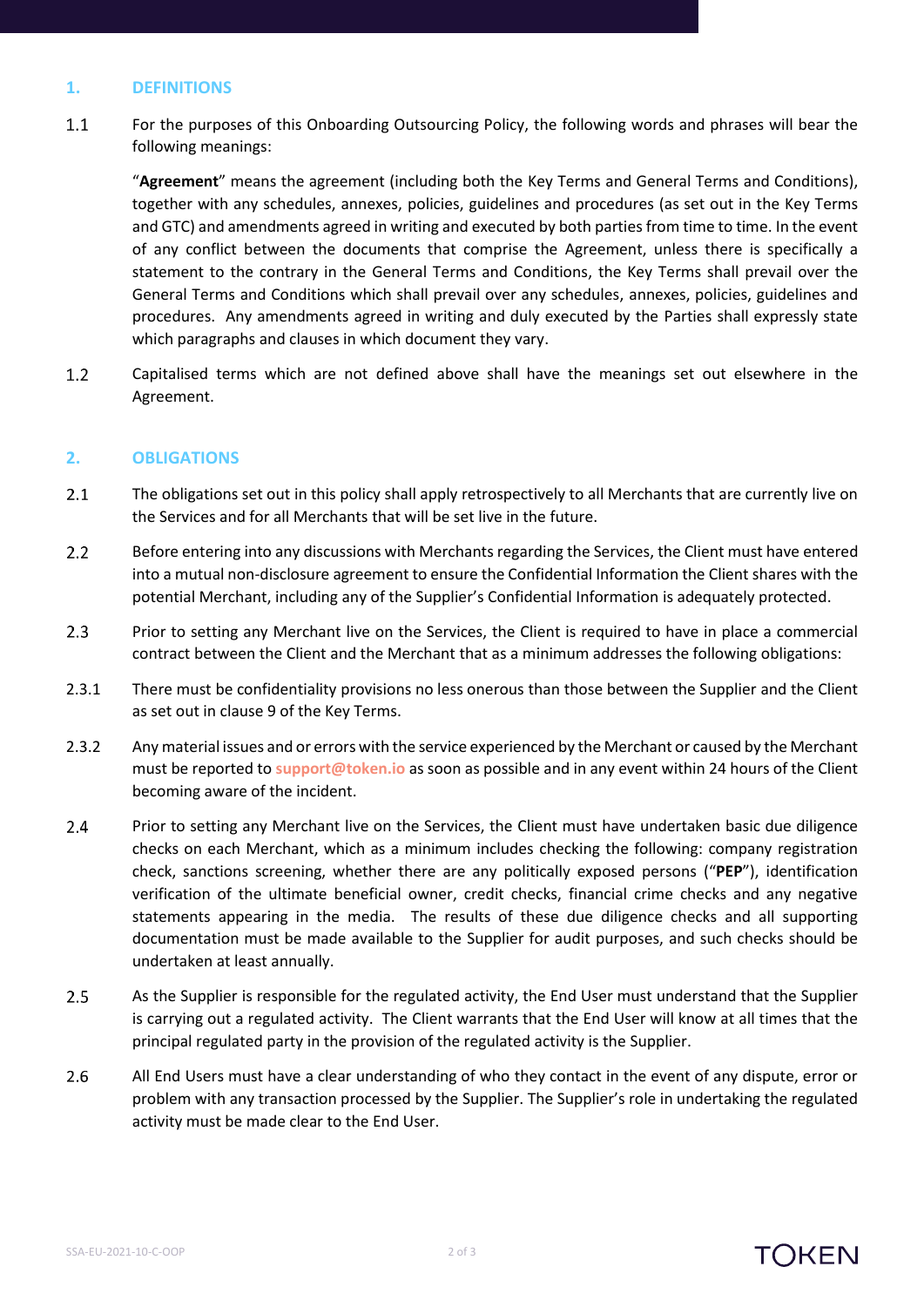## **1. DEFINITIONS**

 $1.1$ For the purposes of this Onboarding Outsourcing Policy, the following words and phrases will bear the following meanings:

"**Agreement**" means the agreement (including both the Key Terms and General Terms and Conditions), together with any schedules, annexes, policies, guidelines and procedures (as set out in the Key Terms and GTC) and amendments agreed in writing and executed by both parties from time to time. In the event of any conflict between the documents that comprise the Agreement, unless there is specifically a statement to the contrary in the General Terms and Conditions, the Key Terms shall prevail over the General Terms and Conditions which shall prevail over any schedules, annexes, policies, guidelines and procedures. Any amendments agreed in writing and duly executed by the Parties shall expressly state which paragraphs and clauses in which document they vary.

 $1.2$ Capitalised terms which are not defined above shall have the meanings set out elsewhere in the Agreement.

## **2. OBLIGATIONS**

- $2.1$ The obligations set out in this policy shall apply retrospectively to all Merchants that are currently live on the Services and for all Merchants that will be set live in the future.
- $2.2$ Before entering into any discussions with Merchants regarding the Services, the Client must have entered into a mutual non-disclosure agreement to ensure the Confidential Information the Client shares with the potential Merchant, including any of the Supplier's Confidential Information is adequately protected.
- $2.3$ Prior to setting any Merchant live on the Services, the Client is required to have in place a commercial contract between the Client and the Merchant that as a minimum addresses the following obligations:
- 2.3.1 There must be confidentiality provisions no less onerous than those between the Supplier and the Client as set out in clause 9 of the Key Terms.
- 2.3.2 Any material issues and or errors with the service experienced by the Merchant or caused by the Merchant must be reported to **support@token.io** as soon as possible and in any event within 24 hours of the Client becoming aware of the incident.
- $2.4$ Prior to setting any Merchant live on the Services, the Client must have undertaken basic due diligence checks on each Merchant, which as a minimum includes checking the following: company registration check, sanctions screening, whether there are any politically exposed persons ("**PEP**"), identification verification of the ultimate beneficial owner, credit checks, financial crime checks and any negative statements appearing in the media. The results of these due diligence checks and all supporting documentation must be made available to the Supplier for audit purposes, and such checks should be undertaken at least annually.
- $2.5$ As the Supplier is responsible for the regulated activity, the End User must understand that the Supplier is carrying out a regulated activity. The Client warrants that the End User will know at all times that the principal regulated party in the provision of the regulated activity is the Supplier.
- $2.6$ All End Users must have a clear understanding of who they contact in the event of any dispute, error or problem with any transaction processed by the Supplier. The Supplier's role in undertaking the regulated activity must be made clear to the End User.